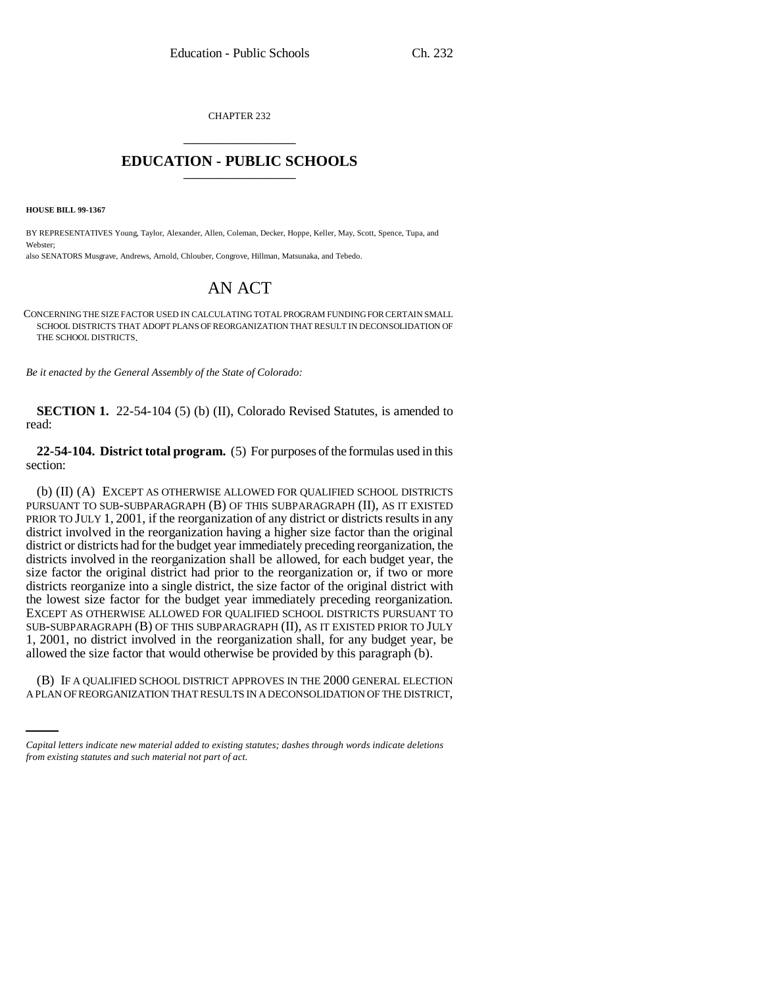CHAPTER 232 \_\_\_\_\_\_\_\_\_\_\_\_\_\_\_

## **EDUCATION - PUBLIC SCHOOLS** \_\_\_\_\_\_\_\_\_\_\_\_\_\_\_

**HOUSE BILL 99-1367**

BY REPRESENTATIVES Young, Taylor, Alexander, Allen, Coleman, Decker, Hoppe, Keller, May, Scott, Spence, Tupa, and Webster;

also SENATORS Musgrave, Andrews, Arnold, Chlouber, Congrove, Hillman, Matsunaka, and Tebedo.

## AN ACT

CONCERNING THE SIZE FACTOR USED IN CALCULATING TOTAL PROGRAM FUNDING FOR CERTAIN SMALL SCHOOL DISTRICTS THAT ADOPT PLANS OF REORGANIZATION THAT RESULT IN DECONSOLIDATION OF THE SCHOOL DISTRICTS.

*Be it enacted by the General Assembly of the State of Colorado:*

**SECTION 1.** 22-54-104 (5) (b) (II), Colorado Revised Statutes, is amended to read:

**22-54-104. District total program.** (5) For purposes of the formulas used in this section:

(b) (II) (A) EXCEPT AS OTHERWISE ALLOWED FOR QUALIFIED SCHOOL DISTRICTS PURSUANT TO SUB-SUBPARAGRAPH (B) OF THIS SUBPARAGRAPH (II), AS IT EXISTED PRIOR TO JULY 1, 2001, if the reorganization of any district or districts results in any district involved in the reorganization having a higher size factor than the original district or districts had for the budget year immediately preceding reorganization, the districts involved in the reorganization shall be allowed, for each budget year, the size factor the original district had prior to the reorganization or, if two or more districts reorganize into a single district, the size factor of the original district with the lowest size factor for the budget year immediately preceding reorganization. EXCEPT AS OTHERWISE ALLOWED FOR QUALIFIED SCHOOL DISTRICTS PURSUANT TO SUB-SUBPARAGRAPH (B) OF THIS SUBPARAGRAPH (II), AS IT EXISTED PRIOR TO JULY 1, 2001, no district involved in the reorganization shall, for any budget year, be allowed the size factor that would otherwise be provided by this paragraph (b).

(B) IF A QUALIFIED SCHOOL DISTRICT APPROVES IN THE 2000 GENERAL ELECTION A PLAN OF REORGANIZATION THAT RESULTS IN A DECONSOLIDATION OF THE DISTRICT,

*Capital letters indicate new material added to existing statutes; dashes through words indicate deletions from existing statutes and such material not part of act.*